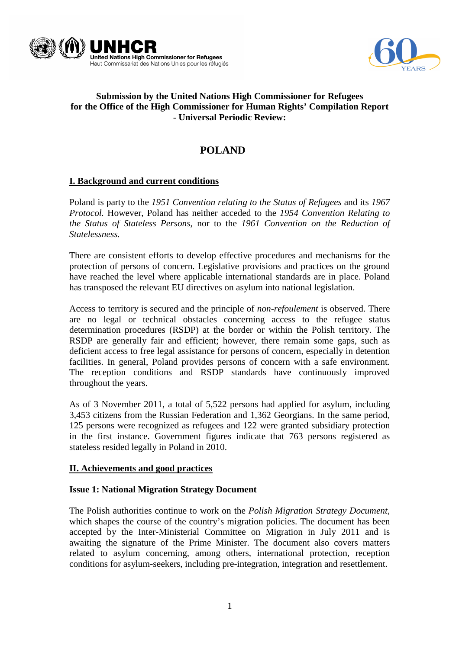



# **Submission by the United Nations High Commissioner for Refugees for the Office of the High Commissioner for Human Rights' Compilation Report - Universal Periodic Review:**

# **POLAND**

# **I. Background and current conditions**

Poland is party to the *1951 Convention relating to the Status of Refugees* and its *1967 Protocol.* However, Poland has neither acceded to the *1954 Convention Relating to the Status of Stateless Persons*, nor to the *1961 Convention on the Reduction of Statelessness.* 

There are consistent efforts to develop effective procedures and mechanisms for the protection of persons of concern. Legislative provisions and practices on the ground have reached the level where applicable international standards are in place. Poland has transposed the relevant EU directives on asylum into national legislation.

Access to territory is secured and the principle of *non-refoulement* is observed. There are no legal or technical obstacles concerning access to the refugee status determination procedures (RSDP) at the border or within the Polish territory. The RSDP are generally fair and efficient; however, there remain some gaps, such as deficient access to free legal assistance for persons of concern, especially in detention facilities. In general, Poland provides persons of concern with a safe environment. The reception conditions and RSDP standards have continuously improved throughout the years.

As of 3 November 2011, a total of 5,522 persons had applied for asylum, including 3,453 citizens from the Russian Federation and 1,362 Georgians. In the same period, 125 persons were recognized as refugees and 122 were granted subsidiary protection in the first instance. Government figures indicate that 763 persons registered as stateless resided legally in Poland in 2010.

# **II. Achievements and good practices**

#### **Issue 1: National Migration Strategy Document**

The Polish authorities continue to work on the *Polish Migration Strategy Document*, which shapes the course of the country's migration policies. The document has been accepted by the Inter-Ministerial Committee on Migration in July 2011 and is awaiting the signature of the Prime Minister. The document also covers matters related to asylum concerning, among others, international protection, reception conditions for asylum-seekers, including pre-integration, integration and resettlement.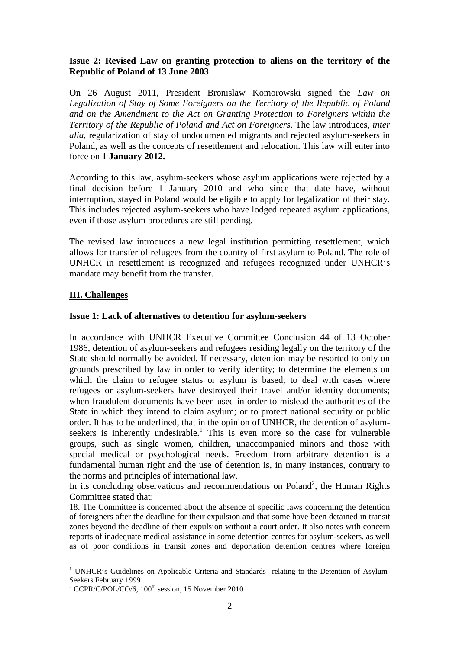## **Issue 2: Revised Law on granting protection to aliens on the territory of the Republic of Poland of 13 June 2003**

On 26 August 2011, President Bronislaw Komorowski signed the *Law on Legalization of Stay of Some Foreigners on the Territory of the Republic of Poland and on the Amendment to the Act on Granting Protection to Foreigners within the Territory of the Republic of Poland and Act on Foreigners*. The law introduces, *inter alia*, regularization of stay of undocumented migrants and rejected asylum-seekers in Poland, as well as the concepts of resettlement and relocation. This law will enter into force on **1 January 2012.**

According to this law, asylum-seekers whose asylum applications were rejected by a final decision before 1 January 2010 and who since that date have, without interruption, stayed in Poland would be eligible to apply for legalization of their stay. This includes rejected asylum-seekers who have lodged repeated asylum applications, even if those asylum procedures are still pending.

The revised law introduces a new legal institution permitting resettlement, which allows for transfer of refugees from the country of first asylum to Poland. The role of UNHCR in resettlement is recognized and refugees recognized under UNHCR's mandate may benefit from the transfer.

# **III. Challenges**

 $\overline{a}$ 

#### **Issue 1: Lack of alternatives to detention for asylum-seekers**

In accordance with UNHCR Executive Committee Conclusion 44 of 13 October 1986, detention of asylum-seekers and refugees residing legally on the territory of the State should normally be avoided. If necessary, detention may be resorted to only on grounds prescribed by law in order to verify identity; to determine the elements on which the claim to refugee status or asylum is based; to deal with cases where refugees or asylum-seekers have destroyed their travel and/or identity documents; when fraudulent documents have been used in order to mislead the authorities of the State in which they intend to claim asylum; or to protect national security or public order. It has to be underlined, that in the opinion of UNHCR, the detention of asylumseekers is inherently undesirable.<sup>1</sup> This is even more so the case for vulnerable groups, such as single women, children, unaccompanied minors and those with special medical or psychological needs. Freedom from arbitrary detention is a fundamental human right and the use of detention is, in many instances, contrary to the norms and principles of international law.

In its concluding observations and recommendations on Poland<sup>2</sup>, the Human Rights Committee stated that:

18. The Committee is concerned about the absence of specific laws concerning the detention of foreigners after the deadline for their expulsion and that some have been detained in transit zones beyond the deadline of their expulsion without a court order. It also notes with concern reports of inadequate medical assistance in some detention centres for asylum-seekers, as well as of poor conditions in transit zones and deportation detention centres where foreign

<sup>&</sup>lt;sup>1</sup> UNHCR's Guidelines on Applicable Criteria and Standards relating to the Detention of Asylum-Seekers February 1999

<sup>&</sup>lt;sup>2</sup> CCPR/C/POL/CO/6,  $100<sup>th</sup>$  session, 15 November 2010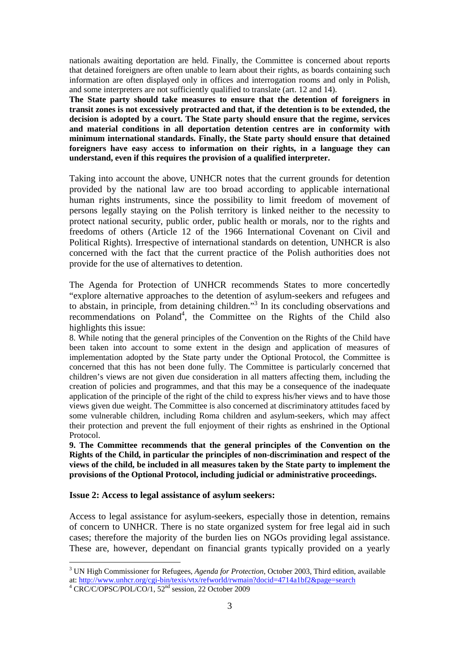nationals awaiting deportation are held. Finally, the Committee is concerned about reports that detained foreigners are often unable to learn about their rights, as boards containing such information are often displayed only in offices and interrogation rooms and only in Polish, and some interpreters are not sufficiently qualified to translate (art. 12 and 14).

**The State party should take measures to ensure that the detention of foreigners in transit zones is not excessively protracted and that, if the detention is to be extended, the decision is adopted by a court. The State party should ensure that the regime, services and material conditions in all deportation detention centres are in conformity with minimum international standards. Finally, the State party should ensure that detained foreigners have easy access to information on their rights, in a language they can understand, even if this requires the provision of a qualified interpreter.** 

Taking into account the above, UNHCR notes that the current grounds for detention provided by the national law are too broad according to applicable international human rights instruments, since the possibility to limit freedom of movement of persons legally staying on the Polish territory is linked neither to the necessity to protect national security, public order, public health or morals, nor to the rights and freedoms of others (Article 12 of the 1966 International Covenant on Civil and Political Rights). Irrespective of international standards on detention, UNHCR is also concerned with the fact that the current practice of the Polish authorities does not provide for the use of alternatives to detention.

The Agenda for Protection of UNHCR recommends States to more concertedly "explore alternative approaches to the detention of asylum-seekers and refugees and to abstain, in principle, from detaining children."<sup>3</sup> In its concluding observations and recommendations on Poland<sup>4</sup>, the Committee on the Rights of the Child also highlights this issue:

8. While noting that the general principles of the Convention on the Rights of the Child have been taken into account to some extent in the design and application of measures of implementation adopted by the State party under the Optional Protocol, the Committee is concerned that this has not been done fully. The Committee is particularly concerned that children's views are not given due consideration in all matters affecting them, including the creation of policies and programmes, and that this may be a consequence of the inadequate application of the principle of the right of the child to express his/her views and to have those views given due weight. The Committee is also concerned at discriminatory attitudes faced by some vulnerable children, including Roma children and asylum-seekers, which may affect their protection and prevent the full enjoyment of their rights as enshrined in the Optional Protocol.

**9. The Committee recommends that the general principles of the Convention on the Rights of the Child, in particular the principles of non-discrimination and respect of the views of the child, be included in all measures taken by the State party to implement the provisions of the Optional Protocol, including judicial or administrative proceedings.** 

#### **Issue 2: Access to legal assistance of asylum seekers:**

Access to legal assistance for asylum-seekers, especially those in detention, remains of concern to UNHCR. There is no state organized system for free legal aid in such cases; therefore the majority of the burden lies on NGOs providing legal assistance. These are, however, dependant on financial grants typically provided on a yearly

 $\overline{a}$ 

<sup>3</sup> UN High Commissioner for Refugees, *Agenda for Protection*, October 2003, Third edition, available at: http://www.unhcr.org/cgi-bin/texis/vtx/refworld/rwmain?docid=4714a1bf2&page=search

<sup>&</sup>lt;sup>4</sup> CRC/C/OPSC/POL/CO/1, 52<sup>nd</sup> session, 22 October 2009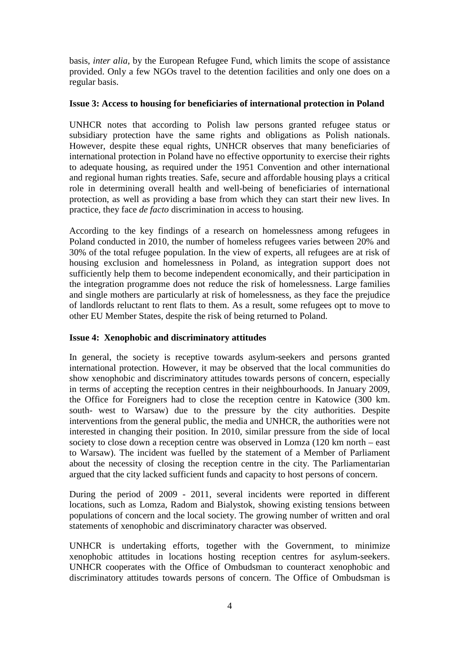basis, *inter alia*, by the European Refugee Fund, which limits the scope of assistance provided. Only a few NGOs travel to the detention facilities and only one does on a regular basis.

## **Issue 3: Access to housing for beneficiaries of international protection in Poland**

UNHCR notes that according to Polish law persons granted refugee status or subsidiary protection have the same rights and obligations as Polish nationals. However, despite these equal rights, UNHCR observes that many beneficiaries of international protection in Poland have no effective opportunity to exercise their rights to adequate housing, as required under the 1951 Convention and other international and regional human rights treaties. Safe, secure and affordable housing plays a critical role in determining overall health and well-being of beneficiaries of international protection, as well as providing a base from which they can start their new lives. In practice, they face *de facto* discrimination in access to housing.

According to the key findings of a research on homelessness among refugees in Poland conducted in 2010, the number of homeless refugees varies between 20% and 30% of the total refugee population. In the view of experts, all refugees are at risk of housing exclusion and homelessness in Poland, as integration support does not sufficiently help them to become independent economically, and their participation in the integration programme does not reduce the risk of homelessness. Large families and single mothers are particularly at risk of homelessness, as they face the prejudice of landlords reluctant to rent flats to them. As a result, some refugees opt to move to other EU Member States, despite the risk of being returned to Poland.

# **Issue 4: Xenophobic and discriminatory attitudes**

In general, the society is receptive towards asylum-seekers and persons granted international protection. However, it may be observed that the local communities do show xenophobic and discriminatory attitudes towards persons of concern, especially in terms of accepting the reception centres in their neighbourhoods. In January 2009, the Office for Foreigners had to close the reception centre in Katowice (300 km. south- west to Warsaw) due to the pressure by the city authorities. Despite interventions from the general public, the media and UNHCR, the authorities were not interested in changing their position. In 2010, similar pressure from the side of local society to close down a reception centre was observed in Lomza (120 km north – east to Warsaw). The incident was fuelled by the statement of a Member of Parliament about the necessity of closing the reception centre in the city. The Parliamentarian argued that the city lacked sufficient funds and capacity to host persons of concern.

During the period of 2009 - 2011, several incidents were reported in different locations, such as Lomza, Radom and Bialystok, showing existing tensions between populations of concern and the local society. The growing number of written and oral statements of xenophobic and discriminatory character was observed.

UNHCR is undertaking efforts, together with the Government, to minimize xenophobic attitudes in locations hosting reception centres for asylum-seekers. UNHCR cooperates with the Office of Ombudsman to counteract xenophobic and discriminatory attitudes towards persons of concern. The Office of Ombudsman is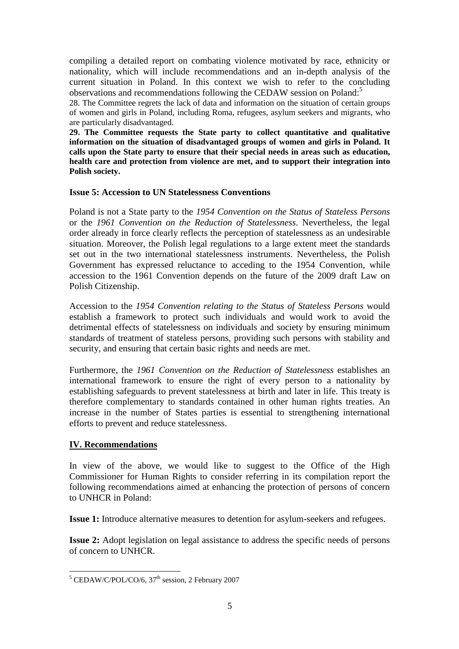compiling a detailed report on combating violence motivated by race, ethnicity or nationality, which will include recommendations and an in-depth analysis of the current situation in Poland. In this context we wish to refer to the concluding observations and recommendations following the CEDAW session on Poland:<sup>5</sup>

28. The Committee regrets the lack of data and information on the situation of certain groups of women and girls in Poland, including Roma, refugees, asylum seekers and migrants, who are particularly disadvantaged.

**29. The Committee requests the State party to collect quantitative and qualitative information on the situation of disadvantaged groups of women and girls in Poland. It calls upon the State party to ensure that their special needs in areas such as education, health care and protection from violence are met, and to support their integration into Polish society.** 

#### **Issue 5: Accession to UN Statelessness Conventions**

Poland is not a State party to the *1954 Convention on the Status of Stateless Persons* or the *1961 Convention on the Reduction of Statelessness*. Nevertheless, the legal order already in force clearly reflects the perception of statelessness as an undesirable situation. Moreover, the Polish legal regulations to a large extent meet the standards set out in the two international statelessness instruments. Nevertheless, the Polish Government has expressed reluctance to acceding to the 1954 Convention, while accession to the 1961 Convention depends on the future of the 2009 draft Law on Polish Citizenship.

Accession to the *1954 Convention relating to the Status of Stateless Persons* would establish a framework to protect such individuals and would work to avoid the detrimental effects of statelessness on individuals and society by ensuring minimum standards of treatment of stateless persons, providing such persons with stability and security, and ensuring that certain basic rights and needs are met.

Furthermore, the *1961 Convention on the Reduction of Statelessness* establishes an international framework to ensure the right of every person to a nationality by establishing safeguards to prevent statelessness at birth and later in life. This treaty is therefore complementary to standards contained in other human rights treaties. An increase in the number of States parties is essential to strengthening international efforts to prevent and reduce statelessness.

# **IV. Recommendations**

In view of the above, we would like to suggest to the Office of the High Commissioner for Human Rights to consider referring in its compilation report the following recommendations aimed at enhancing the protection of persons of concern to UNHCR in Poland:

**Issue 1:** Introduce alternative measures to detention for asylum-seekers and refugees.

**Issue 2:** Adopt legislation on legal assistance to address the specific needs of persons of concern to UNHCR.

<sup>&</sup>lt;sup>5</sup> CEDAW/C/POL/CO/6, 37<sup>th</sup> session, 2 February 2007